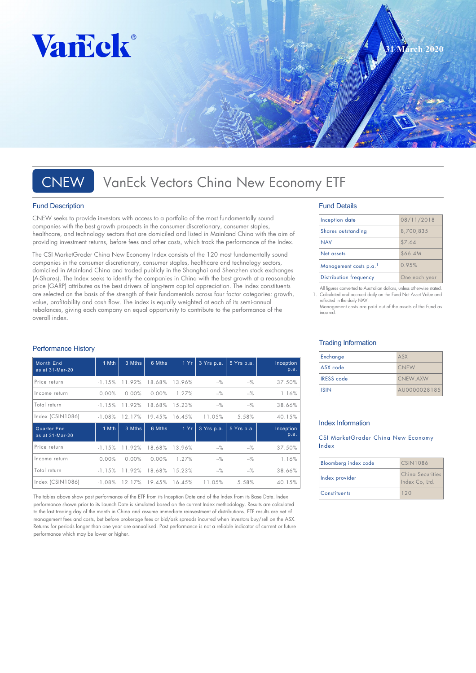

# CNEW VanEck Vectors China New Economy ETF

### Fund Description

CNEW seeks to provide investors with access to a portfolio of the most fundamentally sound companies with the best growth prospects in the consumer discretionary, consumer staples, healthcare, and technology sectors that are domiciled and listed in Mainland China with the aim of providing investment returns, before fees and other costs, which track the performance of the Index.

The CSI MarketGrader China New Economy Index consists of the 120 most fundamentally sound companies in the consumer discretionary, consumer staples, healthcare and technology sectors, domiciled in Mainland China and traded publicly in the Shanghai and Shenzhen stock exchanges (A-Shares). The Index seeks to identify the companies in China with the best growth at a reasonable price (GARP) attributes as the best drivers of long-term capital appreciation. The index constituents are selected on the basis of the strength of their fundamentals across four factor categories: growth, value, profitability and cash flow. The index is equally weighted at each of its semi-annual rebalances, giving each company an equal opportunity to contribute to the performance of the overall index.

### Performance History

| <b>Month End</b><br>as at 31-Mar-20   | 1 Mth    | 3 Mths   | 6 Mths | 1Yr    | 3 Yrs p.a.     | 5 Yrs p.a. | Inception<br>p.a. |
|---------------------------------------|----------|----------|--------|--------|----------------|------------|-------------------|
| Price return                          | $-1.15%$ | 11.92%   | 18.68% | 13.96% | $-$ %          | $-$ %      | 37.50%            |
| Income return                         | 0.00%    | $0.00\%$ | 0.00%  | 1.27%  | $-\frac{9}{6}$ | $-$ %      | 1.16%             |
| Total return                          | $-1.15%$ | 11.92%   | 18.68% | 15.23% | $-\frac{9}{6}$ | $-$ %      | 38.66%            |
| Index (CSIN1086)                      | $-1.08%$ | 12.17%   | 19.45% | 16.45% | 11.05%         | 5.58%      | 40.15%            |
|                                       |          |          |        |        |                |            |                   |
| <b>Quarter End</b><br>as at 31-Mar-20 | 1 Mth    | 3 Mths   | 6 Mths | 1Yr    | 3 Yrs p.a.     | 5 Yrs p.a. | Inception<br>p.a. |
| Price return                          | $-1.15%$ | 11.92%   | 18.68% | 13.96% | $-$ %          | $-$ %      | 37.50%            |
| Income return                         | 0.00%    | $0.00\%$ | 0.00%  | 1.27%  | $-$ %          | $-$ %      | 1.16%             |
| Total return                          | $-1.15%$ | 11.92%   | 18.68% | 15.23% | $-\frac{9}{6}$ | $-$ %      | 38.66%            |

The tables above show past performance of the ETF from its Inception Date and of the Index from its Base Date. Index performance shown prior to its Launch Date is simulated based on the current Index methodology. Results are calculated to the last trading day of the month in China and assume immediate reinvestment of distributions. ETF results are net of management fees and costs, but before brokerage fees or bid/ask spreads incurred when investors buy/sell on the ASX. Returns for periods longer than one year are annualised. Past performance is not a reliable indicator of current or future performance which may be lower or higher.

### Fund Details

| Inception date         | 08/11/2018    |
|------------------------|---------------|
| Shares outstanding     | 8,700,835     |
| <b>NAV</b>             | \$7.64        |
| Net assets             | \$66.4M       |
| Management costs p.a.  | 0.95%         |
| Distribution frequency | One each year |

**31 March 2020**

All figures converted to Australian dollars, unless otherwise stated. All highes convened to Adsiration dollars, onless offerwise stated.<br>Calculated and accrued daily on the Fund Net Asset Value and reflected in the daily NAV.

Management costs are paid out of the assets of the Fund as incurred.

### Trading Information

| Exchange          | ASX          |
|-------------------|--------------|
| ASX code          | <b>CNEW</b>  |
| <b>IRESS</b> code | CNEW AXW     |
| <b>ISIN</b>       | AU0000028185 |

### Index Information

CSI MarketGrader China New Economy Index

| Bloomberg index code | CSIN1086                           |
|----------------------|------------------------------------|
| Index provider       | China Securities<br>Index Co, Ltd. |
| <b>Constituents</b>  | 120                                |